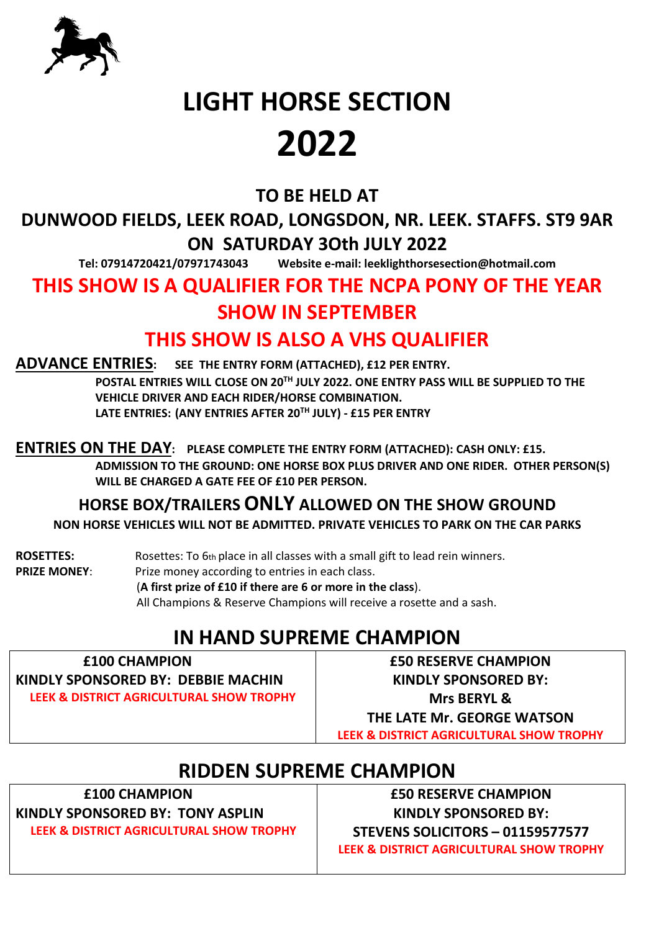

#### **TO BE HELD AT**

**DUNWOOD FIELDS, LEEK ROAD, LONGSDON, NR. LEEK. STAFFS. ST9 9AR ON SATURDAY 3Oth JULY 2022**

**Tel: 07914720421/07971743043 Website e-mail: leeklighthorsesection@hotmail.com**

#### **THIS SHOW IS A QUALIFIER FOR THE NCPA PONY OF THE YEAR SHOW IN SEPTEMBER**

#### **THIS SHOW IS ALSO A VHS QUALIFIER**

**ADVANCE ENTRIES: SEE THE ENTRY FORM (ATTACHED), £12 PER ENTRY.** 

 **POSTAL ENTRIES WILL CLOSE ON 20TH JULY 2022. ONE ENTRY PASS WILL BE SUPPLIED TO THE VEHICLE DRIVER AND EACH RIDER/HORSE COMBINATION. LATE ENTRIES: (ANY ENTRIES AFTER 20TH JULY) - £15 PER ENTRY**

**ENTRIES ON THE DAY: PLEASE COMPLETE THE ENTRY FORM (ATTACHED): CASH ONLY: £15.** 

 **ADMISSION TO THE GROUND: ONE HORSE BOX PLUS DRIVER AND ONE RIDER. OTHER PERSON(S) WILL BE CHARGED A GATE FEE OF £10 PER PERSON.** 

**HORSE BOX/TRAILERS ONLY ALLOWED ON THE SHOW GROUND**

**NON HORSE VEHICLES WILL NOT BE ADMITTED. PRIVATE VEHICLES TO PARK ON THE CAR PARKS**

**ROSETTES:** Rosettes: To 6th place in all classes with a small gift to lead rein winners. **PRIZE MONEY:** Prize money according to entries in each class. (**A first prize of £10 if there are 6 or more in the class**). All Champions & Reserve Champions will receive a rosette and a sash.

## **IN HAND SUPREME CHAMPION**

| <b>E100 CHAMPION</b>                     |
|------------------------------------------|
| KINDLY SPONSORED BY: DEBBIE MACHIN       |
| LEEK & DISTRICT AGRICULTURAL SHOW TROPHY |

**£50 RESERVE CHAMPION KINDLY SPONSORED BY: Mrs BERYL & THE LATE Mr. GEORGE WATSON LEEK & DISTRICT AGRICULTURAL SHOW TROPHY**

## **RIDDEN SUPREME CHAMPION**

**£100 CHAMPION**

**KINDLY SPONSORED BY: TONY ASPLIN LEEK & DISTRICT AGRICULTURAL SHOW TROPHY**

**£50 RESERVE CHAMPION KINDLY SPONSORED BY: STEVENS SOLICITORS – 01159577577 LEEK & DISTRICT AGRICULTURAL SHOW TROPHY**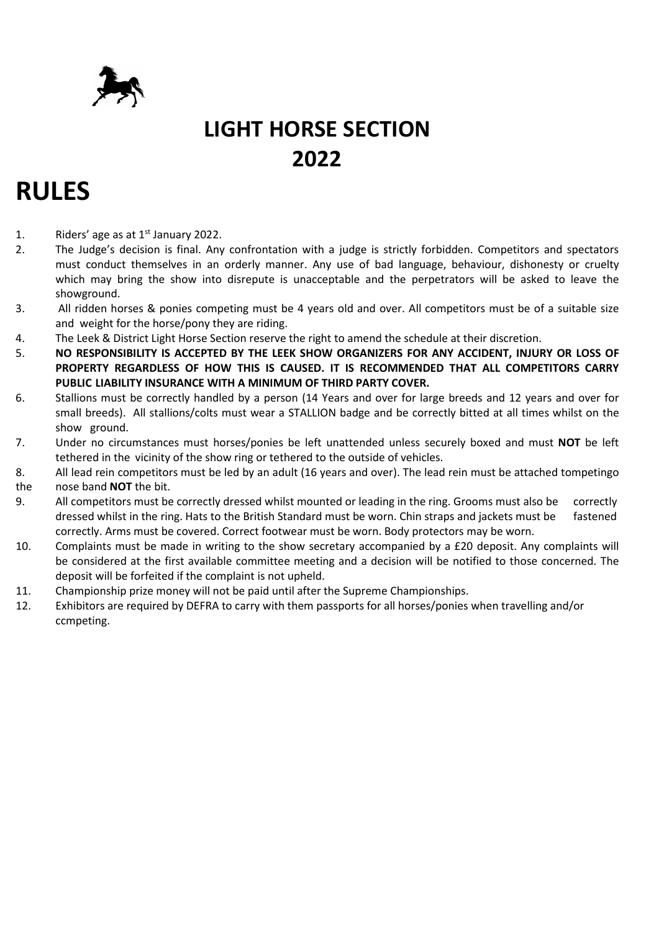

## **RULES**

- 1. Riders' age as at  $1<sup>st</sup>$  January 2022.
- 2. The Judge's decision is final. Any confrontation with a judge is strictly forbidden. Competitors and spectators must conduct themselves in an orderly manner. Any use of bad language, behaviour, dishonesty or cruelty which may bring the show into disrepute is unacceptable and the perpetrators will be asked to leave the showground.
- 3. All ridden horses & ponies competing must be 4 years old and over. All competitors must be of a suitable size and weight for the horse/pony they are riding.
- 4. The Leek & District Light Horse Section reserve the right to amend the schedule at their discretion.
- 5. **NO RESPONSIBILITY IS ACCEPTED BY THE LEEK SHOW ORGANIZERS FOR ANY ACCIDENT, INJURY OR LOSS OF PROPERTY REGARDLESS OF HOW THIS IS CAUSED. IT IS RECOMMENDED THAT ALL COMPETITORS CARRY PUBLIC LIABILITY INSURANCE WITH A MINIMUM OF THIRD PARTY COVER.**
- 6. Stallions must be correctly handled by a person (14 Years and over for large breeds and 12 years and over for small breeds). All stallions/colts must wear a STALLION badge and be correctly bitted at all times whilst on the show ground.
- 7. Under no circumstances must horses/ponies be left unattended unless securely boxed and must **NOT** be left tethered in the vicinity of the show ring or tethered to the outside of vehicles.
- 8. All lead rein competitors must be led by an adult (16 years and over). The lead rein must be attached tompetingo

#### the nose band **NOT** the bit.

- 9. All competitors must be correctly dressed whilst mounted or leading in the ring. Grooms must also be correctly dressed whilst in the ring. Hats to the British Standard must be worn. Chin straps and jackets must be fastened correctly. Arms must be covered. Correct footwear must be worn. Body protectors may be worn.
- 10. Complaints must be made in writing to the show secretary accompanied by a £20 deposit. Any complaints will be considered at the first available committee meeting and a decision will be notified to those concerned. The deposit will be forfeited if the complaint is not upheld.
- 11. Championship prize money will not be paid until after the Supreme Championships.
- 12. Exhibitors are required by DEFRA to carry with them passports for all horses/ponies when travelling and/or ccmpeting.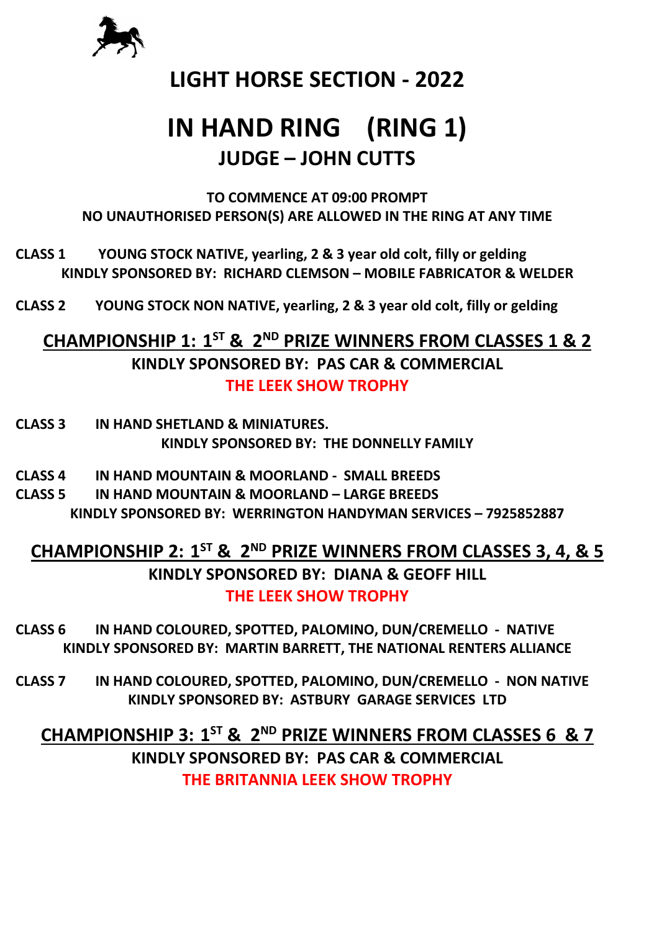

## **IN HAND RING (RING 1) JUDGE – JOHN CUTTS**

**TO COMMENCE AT 09:00 PROMPT NO UNAUTHORISED PERSON(S) ARE ALLOWED IN THE RING AT ANY TIME**

- **CLASS 1 YOUNG STOCK NATIVE, yearling, 2 & 3 year old colt, filly or gelding KINDLY SPONSORED BY: RICHARD CLEMSON – MOBILE FABRICATOR & WELDER**
- **CLASS 2 YOUNG STOCK NON NATIVE, yearling, 2 & 3 year old colt, filly or gelding**

#### **CHAMPIONSHIP 1: 1ST & 2ND PRIZE WINNERS FROM CLASSES 1 & 2 KINDLY SPONSORED BY: PAS CAR & COMMERCIAL THE LEEK SHOW TROPHY**

- **CLASS 3 IN HAND SHETLAND & MINIATURES. KINDLY SPONSORED BY: THE DONNELLY FAMILY**
- **CLASS 4 IN HAND MOUNTAIN & MOORLAND SMALL BREEDS**
- **CLASS 5 IN HAND MOUNTAIN & MOORLAND LARGE BREEDS KINDLY SPONSORED BY: WERRINGTON HANDYMAN SERVICES – 7925852887**

#### **CHAMPIONSHIP 2: 1ST & 2ND PRIZE WINNERS FROM CLASSES 3, 4, & 5 KINDLY SPONSORED BY: DIANA & GEOFF HILL THE LEEK SHOW TROPHY**

- **CLASS 6 IN HAND COLOURED, SPOTTED, PALOMINO, DUN/CREMELLO NATIVE KINDLY SPONSORED BY: MARTIN BARRETT, THE NATIONAL RENTERS ALLIANCE**
- **CLASS 7 IN HAND COLOURED, SPOTTED, PALOMINO, DUN/CREMELLO NON NATIVE KINDLY SPONSORED BY: ASTBURY GARAGE SERVICES LTD**

**CHAMPIONSHIP 3: 1ST & 2ND PRIZE WINNERS FROM CLASSES 6 & 7 KINDLY SPONSORED BY: PAS CAR & COMMERCIAL THE BRITANNIA LEEK SHOW TROPHY**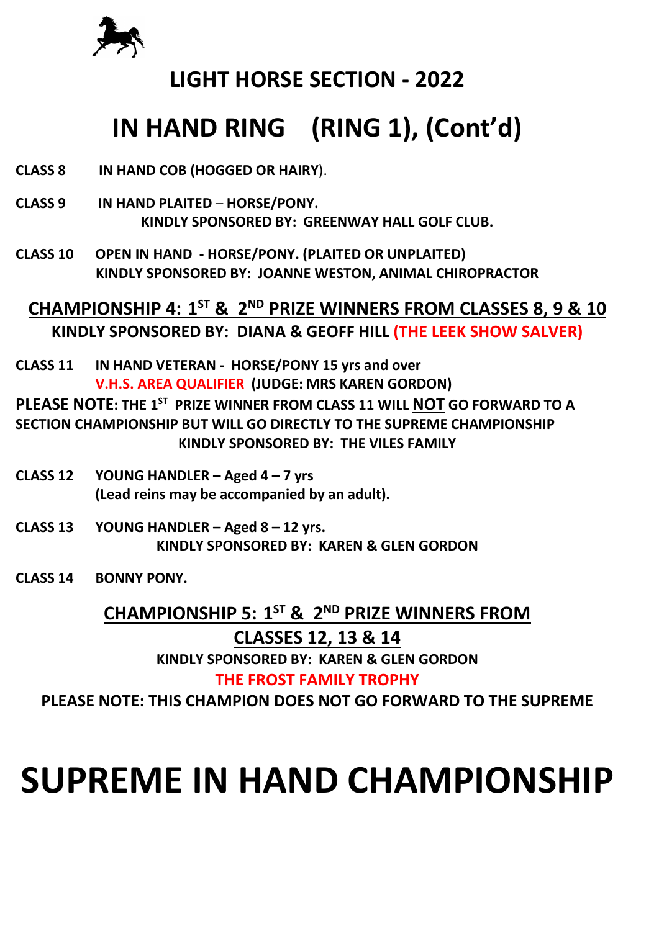

## **IN HAND RING (RING 1), (Cont'd)**

- **CLASS 8 IN HAND COB (HOGGED OR HAIRY**).
- **CLASS 9 IN HAND PLAITED HORSE/PONY. KINDLY SPONSORED BY: GREENWAY HALL GOLF CLUB.**
- **CLASS 10 OPEN IN HAND HORSE/PONY. (PLAITED OR UNPLAITED) KINDLY SPONSORED BY: JOANNE WESTON, ANIMAL CHIROPRACTOR**

**CHAMPIONSHIP 4: 1ST & 2ND PRIZE WINNERS FROM CLASSES 8, 9 & 10 KINDLY SPONSORED BY: DIANA & GEOFF HILL (THE LEEK SHOW SALVER)** 

**CLASS 11 IN HAND VETERAN - HORSE/PONY 15 yrs and over V.H.S. AREA QUALIFIER (JUDGE: MRS KAREN GORDON)**

**PLEASE NOTE: THE 1ST PRIZE WINNER FROM CLASS 11 WILL NOT GO FORWARD TO A SECTION CHAMPIONSHIP BUT WILL GO DIRECTLY TO THE SUPREME CHAMPIONSHIP KINDLY SPONSORED BY: THE VILES FAMILY**

- **CLASS 12 YOUNG HANDLER Aged 4 7 yrs (Lead reins may be accompanied by an adult).**
- **CLASS 13 YOUNG HANDLER Aged 8 12 yrs. KINDLY SPONSORED BY: KAREN & GLEN GORDON**
- **CLASS 14 BONNY PONY.**

#### **CHAMPIONSHIP 5: 1ST & 2ND PRIZE WINNERS FROM**

#### **CLASSES 12, 13 & 14**

**KINDLY SPONSORED BY: KAREN & GLEN GORDON**

#### **THE FROST FAMILY TROPHY**

**PLEASE NOTE: THIS CHAMPION DOES NOT GO FORWARD TO THE SUPREME**

# **SUPREME IN HAND CHAMPIONSHIP**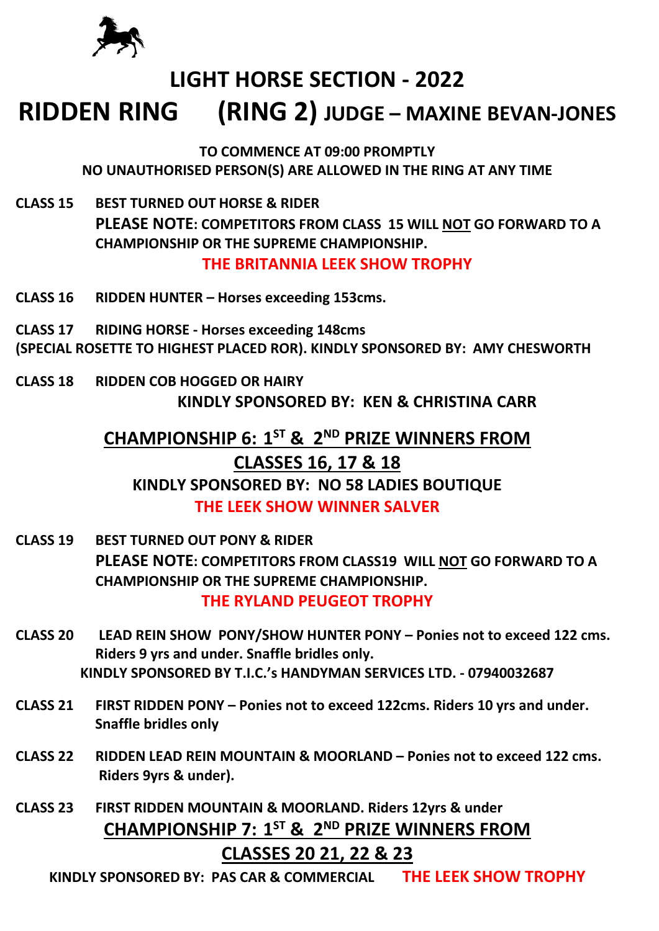

## **RIDDEN RING (RING 2) JUDGE – MAXINE BEVAN-JONES**

**TO COMMENCE AT 09:00 PROMPTLY NO UNAUTHORISED PERSON(S) ARE ALLOWED IN THE RING AT ANY TIME**

- **CLASS 15 BEST TURNED OUT HORSE & RIDER PLEASE NOTE: COMPETITORS FROM CLASS 15 WILL NOT GO FORWARD TO A CHAMPIONSHIP OR THE SUPREME CHAMPIONSHIP. THE BRITANNIA LEEK SHOW TROPHY**
- **CLASS 16 RIDDEN HUNTER Horses exceeding 153cms.**
- **CLASS 17 RIDING HORSE Horses exceeding 148cms**
- **(SPECIAL ROSETTE TO HIGHEST PLACED ROR). KINDLY SPONSORED BY: AMY CHESWORTH**
- **CLASS 18 RIDDEN COB HOGGED OR HAIRY KINDLY SPONSORED BY: KEN & CHRISTINA CARR**

#### **CHAMPIONSHIP 6: 1ST & 2ND PRIZE WINNERS FROM CLASSES 16, 17 & 18 KINDLY SPONSORED BY: NO 58 LADIES BOUTIQUE**

#### **THE LEEK SHOW WINNER SALVER**

- **CLASS 19 BEST TURNED OUT PONY & RIDER PLEASE NOTE: COMPETITORS FROM CLASS19 WILL NOT GO FORWARD TO A CHAMPIONSHIP OR THE SUPREME CHAMPIONSHIP. THE RYLAND PEUGEOT TROPHY**
- **CLASS 20 LEAD REIN SHOW PONY/SHOW HUNTER PONY Ponies not to exceed 122 cms. Riders 9 yrs and under. Snaffle bridles only. KINDLY SPONSORED BY T.I.C.'s HANDYMAN SERVICES LTD. - 07940032687**
- **CLASS 21 FIRST RIDDEN PONY Ponies not to exceed 122cms. Riders 10 yrs and under. Snaffle bridles only**
- **CLASS 22 RIDDEN LEAD REIN MOUNTAIN & MOORLAND Ponies not to exceed 122 cms. Riders 9yrs & under).**
- **CLASS 23 FIRST RIDDEN MOUNTAIN & MOORLAND. Riders 12yrs & under CHAMPIONSHIP 7: 1ST & 2ND PRIZE WINNERS FROM**

#### **CLASSES 20 21, 22 & 23**

**KINDLY SPONSORED BY: PAS CAR & COMMERCIAL THE LEEK SHOW TROPHY**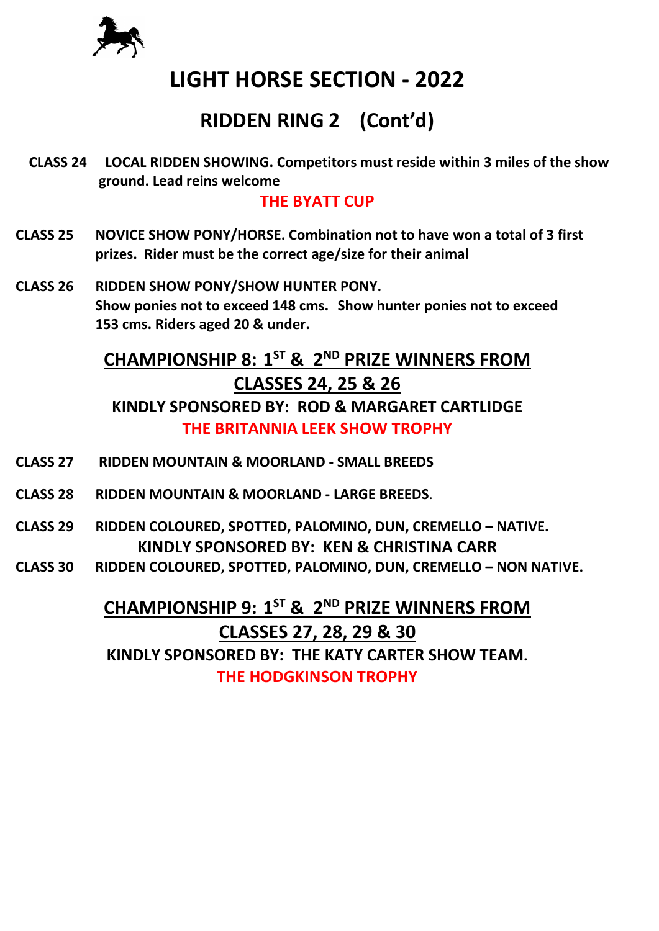

## **RIDDEN RING 2 (Cont'd)**

**CLASS 24 LOCAL RIDDEN SHOWING. Competitors must reside within 3 miles of the show ground. Lead reins welcome**

#### **THE BYATT CUP**

- **CLASS 25 NOVICE SHOW PONY/HORSE. Combination not to have won a total of 3 first prizes. Rider must be the correct age/size for their animal**
- **CLASS 26 RIDDEN SHOW PONY/SHOW HUNTER PONY. Show ponies not to exceed 148 cms. Show hunter ponies not to exceed 153 cms. Riders aged 20 & under.**

## **CHAMPIONSHIP 8: 1ST & 2ND PRIZE WINNERS FROM CLASSES 24, 25 & 26**

**KINDLY SPONSORED BY: ROD & MARGARET CARTLIDGE THE BRITANNIA LEEK SHOW TROPHY**

- **CLASS 27 RIDDEN MOUNTAIN & MOORLAND SMALL BREEDS**
- **CLASS 28 RIDDEN MOUNTAIN & MOORLAND LARGE BREEDS**.
- **CLASS 29 RIDDEN COLOURED, SPOTTED, PALOMINO, DUN, CREMELLO NATIVE. KINDLY SPONSORED BY: KEN & CHRISTINA CARR**
- **CLASS 30 RIDDEN COLOURED, SPOTTED, PALOMINO, DUN, CREMELLO NON NATIVE.**

**CHAMPIONSHIP 9: 1ST & 2ND PRIZE WINNERS FROM CLASSES 27, 28, 29 & 30 KINDLY SPONSORED BY: THE KATY CARTER SHOW TEAM. THE HODGKINSON TROPHY**